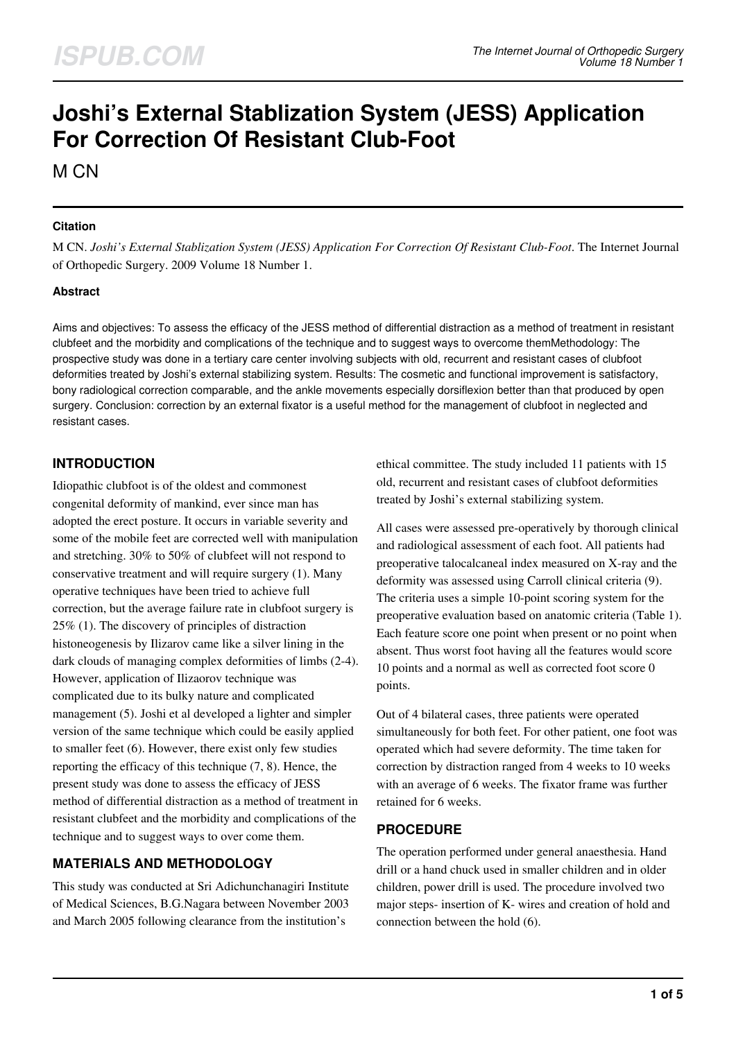# **Joshi's External Stablization System (JESS) Application For Correction Of Resistant Club-Foot**

M CN

#### **Citation**

M CN. *Joshi's External Stablization System (JESS) Application For Correction Of Resistant Club-Foot*. The Internet Journal of Orthopedic Surgery. 2009 Volume 18 Number 1.

#### **Abstract**

Aims and objectives: To assess the efficacy of the JESS method of differential distraction as a method of treatment in resistant clubfeet and the morbidity and complications of the technique and to suggest ways to overcome themMethodology: The prospective study was done in a tertiary care center involving subjects with old, recurrent and resistant cases of clubfoot deformities treated by Joshi's external stabilizing system. Results: The cosmetic and functional improvement is satisfactory, bony radiological correction comparable, and the ankle movements especially dorsiflexion better than that produced by open surgery. Conclusion: correction by an external fixator is a useful method for the management of clubfoot in neglected and resistant cases.

## **INTRODUCTION**

Idiopathic clubfoot is of the oldest and commonest congenital deformity of mankind, ever since man has adopted the erect posture. It occurs in variable severity and some of the mobile feet are corrected well with manipulation and stretching. 30% to 50% of clubfeet will not respond to conservative treatment and will require surgery (1). Many operative techniques have been tried to achieve full correction, but the average failure rate in clubfoot surgery is 25% (1). The discovery of principles of distraction histoneogenesis by Ilizarov came like a silver lining in the dark clouds of managing complex deformities of limbs (2-4). However, application of Ilizaorov technique was complicated due to its bulky nature and complicated management (5). Joshi et al developed a lighter and simpler version of the same technique which could be easily applied to smaller feet (6). However, there exist only few studies reporting the efficacy of this technique (7, 8). Hence, the present study was done to assess the efficacy of JESS method of differential distraction as a method of treatment in resistant clubfeet and the morbidity and complications of the technique and to suggest ways to over come them.

## **MATERIALS AND METHODOLOGY**

This study was conducted at Sri Adichunchanagiri Institute of Medical Sciences, B.G.Nagara between November 2003 and March 2005 following clearance from the institution's

ethical committee. The study included 11 patients with 15 old, recurrent and resistant cases of clubfoot deformities treated by Joshi's external stabilizing system.

All cases were assessed pre-operatively by thorough clinical and radiological assessment of each foot. All patients had preoperative talocalcaneal index measured on X-ray and the deformity was assessed using Carroll clinical criteria (9). The criteria uses a simple 10-point scoring system for the preoperative evaluation based on anatomic criteria (Table 1). Each feature score one point when present or no point when absent. Thus worst foot having all the features would score 10 points and a normal as well as corrected foot score 0 points.

Out of 4 bilateral cases, three patients were operated simultaneously for both feet. For other patient, one foot was operated which had severe deformity. The time taken for correction by distraction ranged from 4 weeks to 10 weeks with an average of 6 weeks. The fixator frame was further retained for 6 weeks.

#### **PROCEDURE**

The operation performed under general anaesthesia. Hand drill or a hand chuck used in smaller children and in older children, power drill is used. The procedure involved two major steps- insertion of K- wires and creation of hold and connection between the hold (6).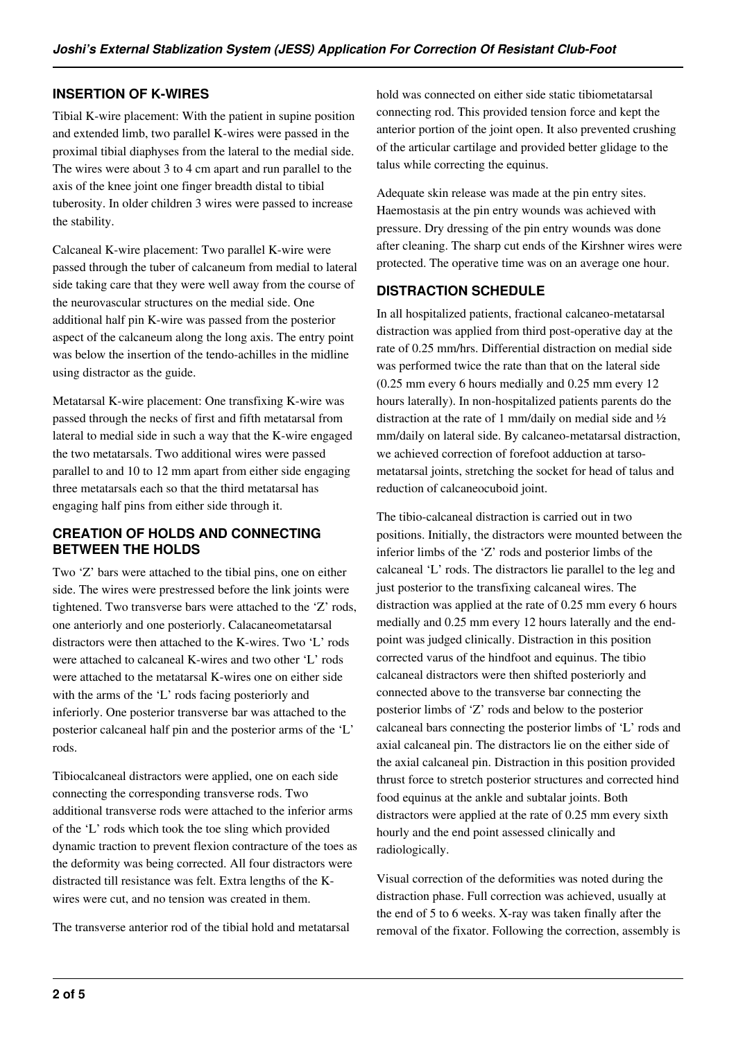## **INSERTION OF K-WIRES**

Tibial K-wire placement: With the patient in supine position and extended limb, two parallel K-wires were passed in the proximal tibial diaphyses from the lateral to the medial side. The wires were about 3 to 4 cm apart and run parallel to the axis of the knee joint one finger breadth distal to tibial tuberosity. In older children 3 wires were passed to increase the stability.

Calcaneal K-wire placement: Two parallel K-wire were passed through the tuber of calcaneum from medial to lateral side taking care that they were well away from the course of the neurovascular structures on the medial side. One additional half pin K-wire was passed from the posterior aspect of the calcaneum along the long axis. The entry point was below the insertion of the tendo-achilles in the midline using distractor as the guide.

Metatarsal K-wire placement: One transfixing K-wire was passed through the necks of first and fifth metatarsal from lateral to medial side in such a way that the K-wire engaged the two metatarsals. Two additional wires were passed parallel to and 10 to 12 mm apart from either side engaging three metatarsals each so that the third metatarsal has engaging half pins from either side through it.

#### **CREATION OF HOLDS AND CONNECTING BETWEEN THE HOLDS**

Two 'Z' bars were attached to the tibial pins, one on either side. The wires were prestressed before the link joints were tightened. Two transverse bars were attached to the 'Z' rods, one anteriorly and one posteriorly. Calacaneometatarsal distractors were then attached to the K-wires. Two 'L' rods were attached to calcaneal K-wires and two other 'L' rods were attached to the metatarsal K-wires one on either side with the arms of the 'L' rods facing posteriorly and inferiorly. One posterior transverse bar was attached to the posterior calcaneal half pin and the posterior arms of the 'L' rods.

Tibiocalcaneal distractors were applied, one on each side connecting the corresponding transverse rods. Two additional transverse rods were attached to the inferior arms of the 'L' rods which took the toe sling which provided dynamic traction to prevent flexion contracture of the toes as the deformity was being corrected. All four distractors were distracted till resistance was felt. Extra lengths of the Kwires were cut, and no tension was created in them.

The transverse anterior rod of the tibial hold and metatarsal

hold was connected on either side static tibiometatarsal connecting rod. This provided tension force and kept the anterior portion of the joint open. It also prevented crushing of the articular cartilage and provided better glidage to the talus while correcting the equinus.

Adequate skin release was made at the pin entry sites. Haemostasis at the pin entry wounds was achieved with pressure. Dry dressing of the pin entry wounds was done after cleaning. The sharp cut ends of the Kirshner wires were protected. The operative time was on an average one hour.

#### **DISTRACTION SCHEDULE**

In all hospitalized patients, fractional calcaneo-metatarsal distraction was applied from third post-operative day at the rate of 0.25 mm/hrs. Differential distraction on medial side was performed twice the rate than that on the lateral side (0.25 mm every 6 hours medially and 0.25 mm every 12 hours laterally). In non-hospitalized patients parents do the distraction at the rate of 1 mm/daily on medial side and ½ mm/daily on lateral side. By calcaneo-metatarsal distraction, we achieved correction of forefoot adduction at tarsometatarsal joints, stretching the socket for head of talus and reduction of calcaneocuboid joint.

The tibio-calcaneal distraction is carried out in two positions. Initially, the distractors were mounted between the inferior limbs of the 'Z' rods and posterior limbs of the calcaneal 'L' rods. The distractors lie parallel to the leg and just posterior to the transfixing calcaneal wires. The distraction was applied at the rate of 0.25 mm every 6 hours medially and 0.25 mm every 12 hours laterally and the endpoint was judged clinically. Distraction in this position corrected varus of the hindfoot and equinus. The tibio calcaneal distractors were then shifted posteriorly and connected above to the transverse bar connecting the posterior limbs of 'Z' rods and below to the posterior calcaneal bars connecting the posterior limbs of 'L' rods and axial calcaneal pin. The distractors lie on the either side of the axial calcaneal pin. Distraction in this position provided thrust force to stretch posterior structures and corrected hind food equinus at the ankle and subtalar joints. Both distractors were applied at the rate of 0.25 mm every sixth hourly and the end point assessed clinically and radiologically.

Visual correction of the deformities was noted during the distraction phase. Full correction was achieved, usually at the end of 5 to 6 weeks. X-ray was taken finally after the removal of the fixator. Following the correction, assembly is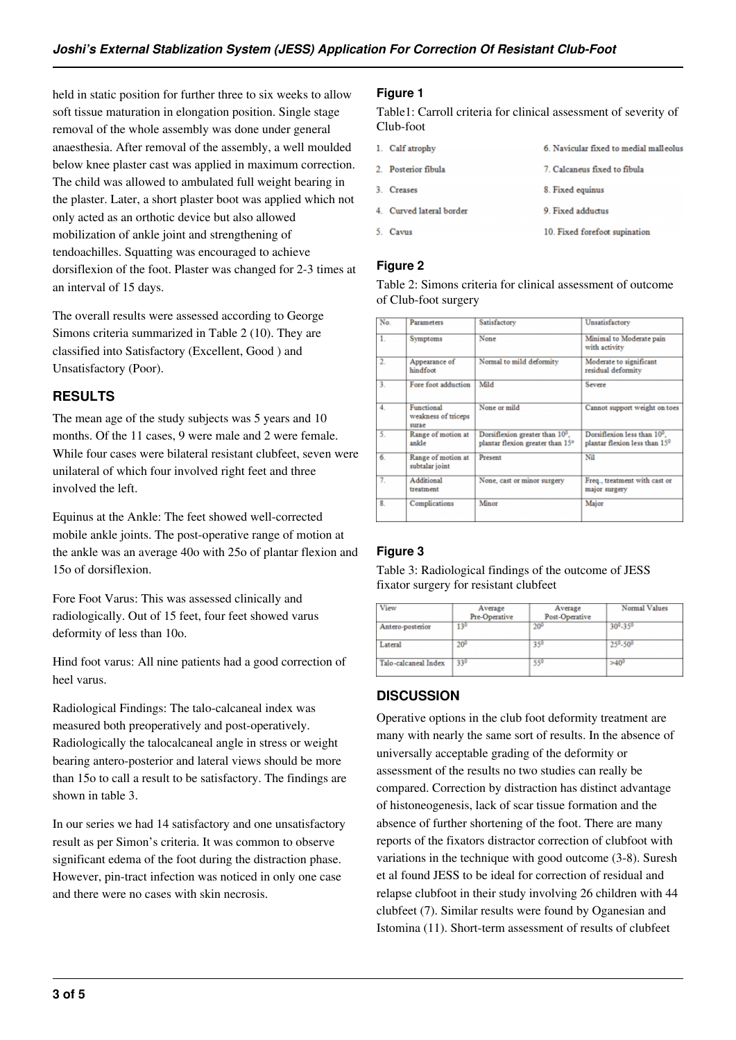held in static position for further three to six weeks to allow soft tissue maturation in elongation position. Single stage removal of the whole assembly was done under general anaesthesia. After removal of the assembly, a well moulded below knee plaster cast was applied in maximum correction. The child was allowed to ambulated full weight bearing in the plaster. Later, a short plaster boot was applied which not only acted as an orthotic device but also allowed mobilization of ankle joint and strengthening of tendoachilles. Squatting was encouraged to achieve dorsiflexion of the foot. Plaster was changed for 2-3 times at an interval of 15 days.

The overall results were assessed according to George Simons criteria summarized in Table 2 (10). They are classified into Satisfactory (Excellent, Good ) and Unsatisfactory (Poor).

## **RESULTS**

The mean age of the study subjects was 5 years and 10 months. Of the 11 cases, 9 were male and 2 were female. While four cases were bilateral resistant clubfeet, seven were unilateral of which four involved right feet and three involved the left.

Equinus at the Ankle: The feet showed well-corrected mobile ankle joints. The post-operative range of motion at the ankle was an average 40o with 25o of plantar flexion and 15o of dorsiflexion.

Fore Foot Varus: This was assessed clinically and radiologically. Out of 15 feet, four feet showed varus deformity of less than 10o.

Hind foot varus: All nine patients had a good correction of heel varus.

Radiological Findings: The talo-calcaneal index was measured both preoperatively and post-operatively. Radiologically the talocalcaneal angle in stress or weight bearing antero-posterior and lateral views should be more than 15o to call a result to be satisfactory. The findings are shown in table 3.

In our series we had 14 satisfactory and one unsatisfactory result as per Simon's criteria. It was common to observe significant edema of the foot during the distraction phase. However, pin-tract infection was noticed in only one case and there were no cases with skin necrosis.

#### **Figure 1**

Table1: Carroll criteria for clinical assessment of severity of Club-foot

| 1. Calf atrophy          | 6. Navicular fixed to medial malleolus |
|--------------------------|----------------------------------------|
| 2. Posterior fibula      | 7. Calcaneus fixed to fibula           |
| 3. Creases               | 8. Fixed equinus                       |
| 4. Curved lateral border | 9. Fixed adductus                      |
| 5. Cavus                 | 10. Fixed forefoot supination          |

#### **Figure 2**

Table 2: Simons criteria for clinical assessment of outcome of Club-foot surgery

| No.              | Parameters                                 | Satisfactory                                                       | Unsatisfactory                                               |
|------------------|--------------------------------------------|--------------------------------------------------------------------|--------------------------------------------------------------|
| 1.               | Symptoms                                   | None                                                               | Minimal to Moderate pain<br>with activity                    |
| $\overline{2}$ . | Appearance of<br>hindfoot                  | Normal to mild deformity                                           | Moderate to significant<br>residual deformity                |
| 3.               | Fore foot adduction                        | Mild                                                               | Severe                                                       |
| 4.               | Functional<br>weakness of triceps<br>surae | None or mild                                                       | Cannot support weight on toes                                |
| $\overline{5}$ . | Range of motion at<br>ankle                | Dorsiflexion greater than 10°.<br>plantar flexion greater than 15° | Dorsiflexion less than 10°.<br>plantar flexion less than 150 |
| 6.               | Range of motion at<br>subtalar joint       | Present                                                            | Nil                                                          |
| 7.               | Additional<br>treatment                    | None, cast or minor surgery                                        | Freq., treatment with cast or<br>major surgery               |
| 8                | Complications                              | Minor                                                              | Major                                                        |
|                  |                                            |                                                                    |                                                              |

## **Figure 3**

Table 3: Radiological findings of the outcome of JESS fixator surgery for resistant clubfeet

| View                 | Average<br>Pre-Operative | Average<br>Post-Operative | Normal Values                    |
|----------------------|--------------------------|---------------------------|----------------------------------|
| Antero-posterior     | $13^{0}$                 | $20^{0}$                  | 30 <sup>0</sup> -35 <sup>0</sup> |
| Lateral              | $20^{\circ}$             | 350                       | 250-500                          |
| Talo-calcaneal Index | 330                      | 550                       | $>40^{0}$                        |

## **DISCUSSION**

Operative options in the club foot deformity treatment are many with nearly the same sort of results. In the absence of universally acceptable grading of the deformity or assessment of the results no two studies can really be compared. Correction by distraction has distinct advantage of histoneogenesis, lack of scar tissue formation and the absence of further shortening of the foot. There are many reports of the fixators distractor correction of clubfoot with variations in the technique with good outcome (3-8). Suresh et al found JESS to be ideal for correction of residual and relapse clubfoot in their study involving 26 children with 44 clubfeet (7). Similar results were found by Oganesian and Istomina (11). Short-term assessment of results of clubfeet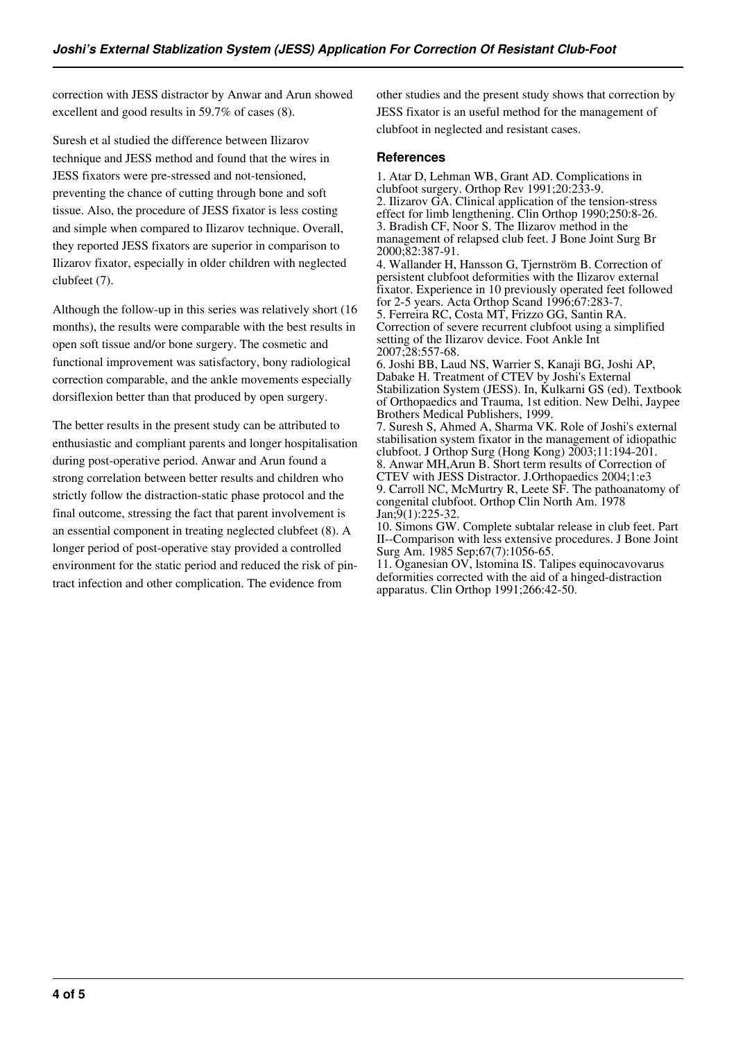correction with JESS distractor by Anwar and Arun showed excellent and good results in 59.7% of cases (8).

Suresh et al studied the difference between Ilizarov technique and JESS method and found that the wires in JESS fixators were pre-stressed and not-tensioned, preventing the chance of cutting through bone and soft tissue. Also, the procedure of JESS fixator is less costing and simple when compared to Ilizarov technique. Overall, they reported JESS fixators are superior in comparison to Ilizarov fixator, especially in older children with neglected clubfeet (7).

Although the follow-up in this series was relatively short (16 months), the results were comparable with the best results in open soft tissue and/or bone surgery. The cosmetic and functional improvement was satisfactory, bony radiological correction comparable, and the ankle movements especially dorsiflexion better than that produced by open surgery.

The better results in the present study can be attributed to enthusiastic and compliant parents and longer hospitalisation during post-operative period. Anwar and Arun found a strong correlation between better results and children who strictly follow the distraction-static phase protocol and the final outcome, stressing the fact that parent involvement is an essential component in treating neglected clubfeet (8). A longer period of post-operative stay provided a controlled environment for the static period and reduced the risk of pintract infection and other complication. The evidence from

other studies and the present study shows that correction by JESS fixator is an useful method for the management of clubfoot in neglected and resistant cases.

#### **References**

1. Atar D, Lehman WB, Grant AD. Complications in clubfoot surgery. Orthop Rev 1991;20:233-9. 2. Ilizarov GA. Clinical application of the tension-stress effect for limb lengthening. Clin Orthop 1990;250:8-26. 3. Bradish CF, Noor S. The Ilizarov method in the management of relapsed club feet. J Bone Joint Surg Br 2000;82:387-91.

4. Wallander H, Hansson G, Tjernström B. Correction of persistent clubfoot deformities with the Ilizarov external fixator. Experience in 10 previously operated feet followed for 2-5 years. Acta Orthop Scand 1996;67:283-7. 5. Ferreira RC, Costa MT, Frizzo GG, Santin RA. Correction of severe recurrent clubfoot using a simplified setting of the Ilizarov device. Foot Ankle Int 2007;28:557-68.

6. Joshi BB, Laud NS, Warrier S, Kanaji BG, Joshi AP, Dabake H. Treatment of CTEV by Joshi's External Stabilization System (JESS). In, Kulkarni GS (ed). Textbook of Orthopaedics and Trauma, 1st edition. New Delhi, Jaypee Brothers Medical Publishers, 1999.

7. Suresh S, Ahmed A, Sharma VK. Role of Joshi's external stabilisation system fixator in the management of idiopathic clubfoot. J Orthop Surg (Hong Kong) 2003;11:194-201. 8. Anwar MH,Arun B. Short term results of Correction of CTEV with JESS Distractor. J.Orthopaedics 2004;1:e3 9. Carroll NC, McMurtry R, Leete SF. The pathoanatomy of congenital clubfoot. Orthop Clin North Am. 1978 Jan;9(1):225-32.

10. Simons GW. Complete subtalar release in club feet. Part II--Comparison with less extensive procedures. J Bone Joint Surg Am. 1985 Sep;67(7):1056-65.

11. Oganesian OV, lstomina IS. Talipes equinocavovarus deformities corrected with the aid of a hinged-distraction apparatus. Clin Orthop 1991;266:42-50.